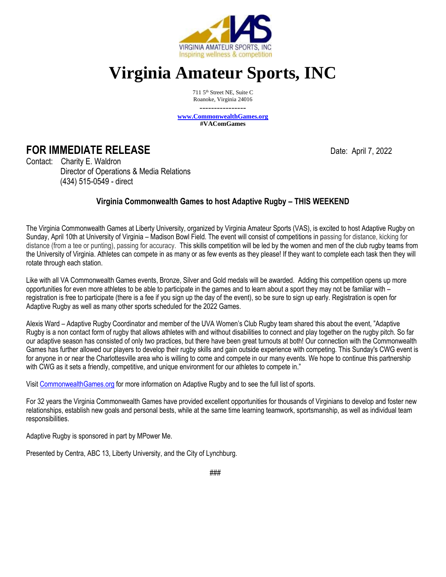

## **Virginia Amateur Sports, INC**

711 5<sup>th</sup> Street NE, Suite C Roanoke, Virginia 24016

--------------- **[www.CommonwealthGames.org](http://www.commonwealthgames.org/) #VAComGames**

## **FOR IMMEDIATE RELEASE Date:** April 7, 2022

Contact: Charity E. Waldron Director of Operations & Media Relations (434) 515-0549 - direct

## **Virginia Commonwealth Games to host Adaptive Rugby – THIS WEEKEND**

The Virginia Commonwealth Games at Liberty University, organized by Virginia Amateur Sports (VAS), is excited to host Adaptive Rugby on Sunday, April 10th at University of Virginia – Madison Bowl Field. The event will consist of competitions in passing for distance, kicking for distance (from a tee or punting), passing for accuracy. This skills competition will be led by the women and men of the club rugby teams from the University of Virginia. Athletes can compete in as many or as few events as they please! If they want to complete each task then they will rotate through each station.

Like with all VA Commonwealth Games events, Bronze, Silver and Gold medals will be awarded. Adding this competition opens up more opportunities for even more athletes to be able to participate in the games and to learn about a sport they may not be familiar with – registration is free to participate (there is a fee if you sign up the day of the event), so be sure to sign up early. Registration is open for Adaptive Rugby as well as many other sports scheduled for the 2022 Games.

Alexis Ward – Adaptive Rugby Coordinator and member of the UVA Women's Club Rugby team shared this about the event, "Adaptive Rugby is a non contact form of rugby that allows athletes with and without disabilities to connect and play together on the rugby pitch. So far our adaptive season has consisted of only two practices, but there have been great turnouts at both! Our connection with the Commonwealth Games has further allowed our players to develop their rugby skills and gain outside experience with competing. This Sunday's CWG event is for anyone in or near the Charlottesville area who is willing to come and compete in our many events. We hope to continue this partnership with CWG as it sets a friendly, competitive, and unique environment for our athletes to compete in."

Visi[t CommonwealthGames.org](https://commonwealthgames.org/sports-listing/adapt-rugby) for more information on Adaptive Rugby and to see the full list of sports.

For 32 years the Virginia Commonwealth Games have provided excellent opportunities for thousands of Virginians to develop and foster new relationships, establish new goals and personal bests, while at the same time learning teamwork, sportsmanship, as well as individual team responsibilities.

Adaptive Rugby is sponsored in part by MPower Me.

Presented by Centra, ABC 13, Liberty University, and the City of Lynchburg.

###